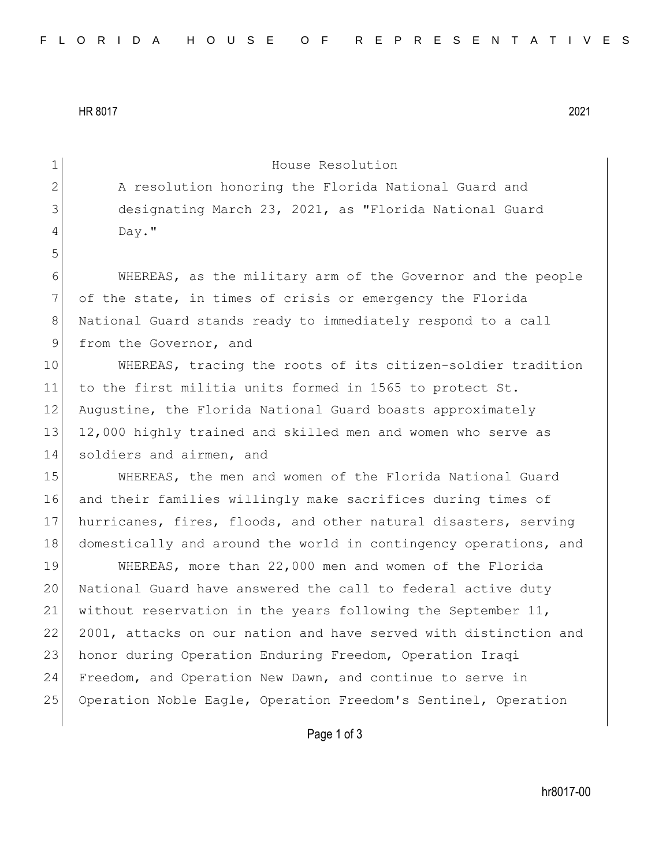HR 8017 2021

| $\mathbf 1$    | House Resolution                                                 |
|----------------|------------------------------------------------------------------|
| $\overline{2}$ | A resolution honoring the Florida National Guard and             |
| 3              | designating March 23, 2021, as "Florida National Guard           |
| 4              | Day."                                                            |
| 5              |                                                                  |
| 6              | WHEREAS, as the military arm of the Governor and the people      |
| 7              | of the state, in times of crisis or emergency the Florida        |
| $8\,$          | National Guard stands ready to immediately respond to a call     |
| 9              | from the Governor, and                                           |
| 10             | WHEREAS, tracing the roots of its citizen-soldier tradition      |
| 11             | to the first militia units formed in 1565 to protect St.         |
| 12             | Augustine, the Florida National Guard boasts approximately       |
| 13             | 12,000 highly trained and skilled men and women who serve as     |
| 14             | soldiers and airmen, and                                         |
| 15             | WHEREAS, the men and women of the Florida National Guard         |
| 16             | and their families willingly make sacrifices during times of     |
| 17             | hurricanes, fires, floods, and other natural disasters, serving  |
| 18             | domestically and around the world in contingency operations, and |
| 19             | WHEREAS, more than 22,000 men and women of the Florida           |
| 20             | National Guard have answered the call to federal active duty     |
| 21             | without reservation in the years following the September 11,     |
| 22             | 2001, attacks on our nation and have served with distinction and |
| 23             | honor during Operation Enduring Freedom, Operation Iraqi         |
| 24             | Freedom, and Operation New Dawn, and continue to serve in        |
| 25             | Operation Noble Eagle, Operation Freedom's Sentinel, Operation   |
|                |                                                                  |

Page 1 of 3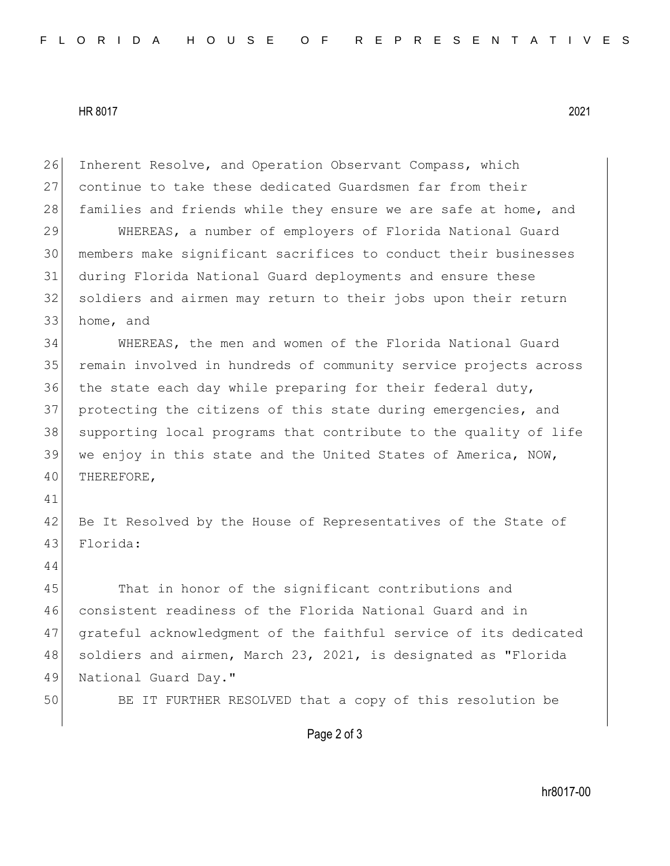HR 8017 2021

26 Inherent Resolve, and Operation Observant Compass, which 27 continue to take these dedicated Guardsmen far from their 28 families and friends while they ensure we are safe at home, and 29 WHEREAS, a number of employers of Florida National Guard 30 members make significant sacrifices to conduct their businesses 31 during Florida National Guard deployments and ensure these 32 soldiers and airmen may return to their jobs upon their return 33 home, and 34 WHEREAS, the men and women of the Florida National Guard 35 remain involved in hundreds of community service projects across 36 the state each day while preparing for their federal duty, 37 protecting the citizens of this state during emergencies, and 38 supporting local programs that contribute to the quality of life 39 we enjoy in this state and the United States of America, NOW, 40 THEREFORE, 41 42 Be It Resolved by the House of Representatives of the State of 43 Florida: 44 45 That in honor of the significant contributions and 46 consistent readiness of the Florida National Guard and in 47 grateful acknowledgment of the faithful service of its dedicated 48 soldiers and airmen, March 23, 2021, is designated as "Florida 49 National Guard Day." 50 BE IT FURTHER RESOLVED that a copy of this resolution be

Page 2 of 3